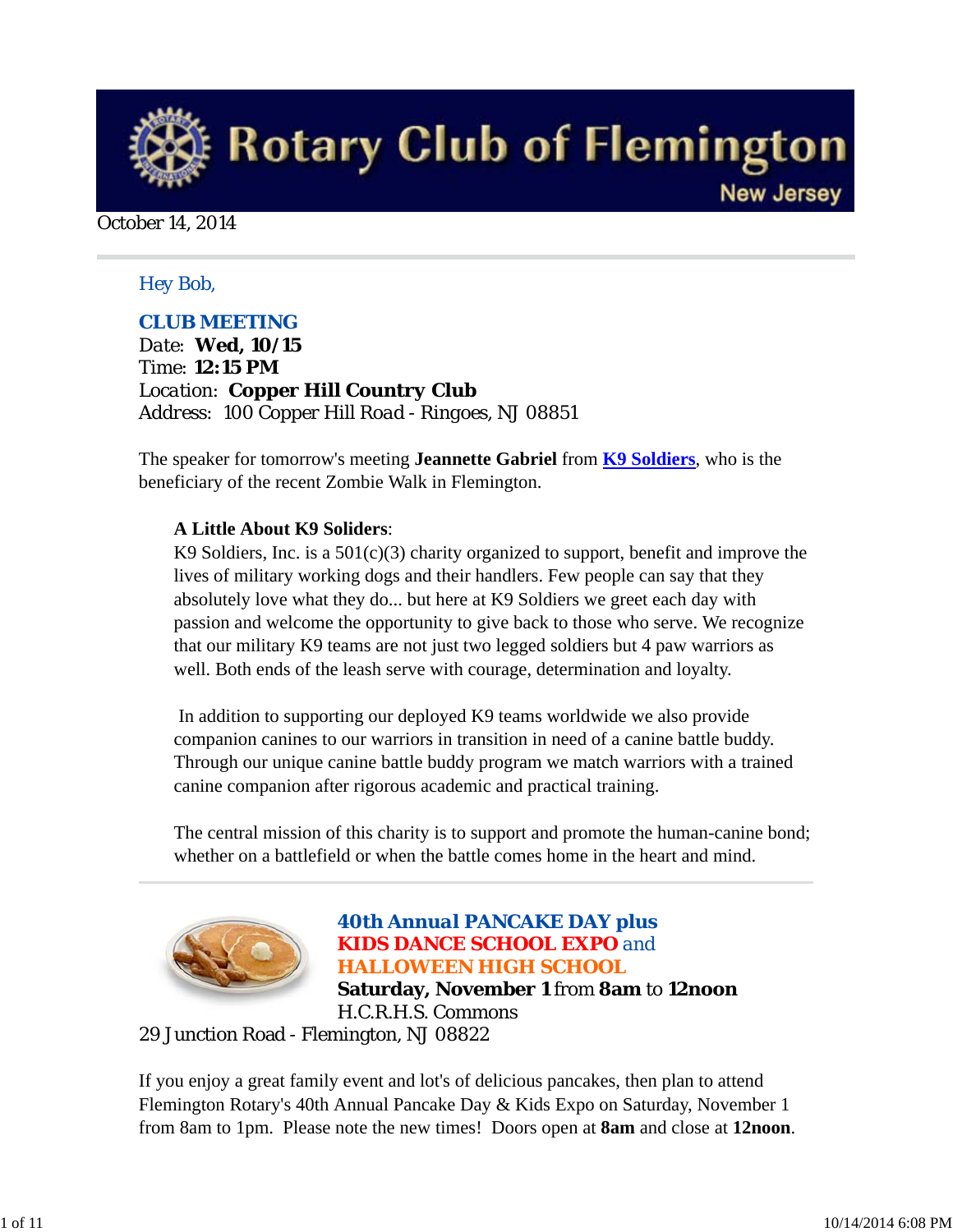

October 14, 2014

#### *Hey Bob,*

#### *CLUB MEETING*

*Date: Wed, 10/15 Time: 12:15 PM Location: Copper Hill Country Club Address: 100 Copper Hill Road - Ringoes, NJ 08851*

The speaker for tomorrow's meeting **Jeannette Gabriel** from **K9 Soldiers**, who is the beneficiary of the recent Zombie Walk in Flemington.

#### **A Little About K9 Soliders**:

K9 Soldiers, Inc. is a  $501(c)(3)$  charity organized to support, benefit and improve the lives of military working dogs and their handlers. Few people can say that they absolutely love what they do... but here at K9 Soldiers we greet each day with passion and welcome the opportunity to give back to those who serve. We recognize that our military K9 teams are not just two legged soldiers but 4 paw warriors as well. Both ends of the leash serve with courage, determination and loyalty.

 In addition to supporting our deployed K9 teams worldwide we also provide companion canines to our warriors in transition in need of a canine battle buddy. Through our unique canine battle buddy program we match warriors with a trained canine companion after rigorous academic and practical training.

The central mission of this charity is to support and promote the human-canine bond; whether on a battlefield or when the battle comes home in the heart and mind.



# *40th Annual PANCAKE DAY plus KIDS DANCE SCHOOL EXPO and HALLOWEEN HIGH SCHOOL* **Saturday, November 1** from **8am** to **12noon**

H.C.R.H.S. Commons

29 Junction Road - Flemington, NJ 08822

If you enjoy a great family event and lot's of delicious pancakes, then plan to attend Flemington Rotary's 40th Annual Pancake Day & Kids Expo on Saturday, November 1 from 8am to 1pm. Please note the new times! Doors open at **8am** and close at **12noon**.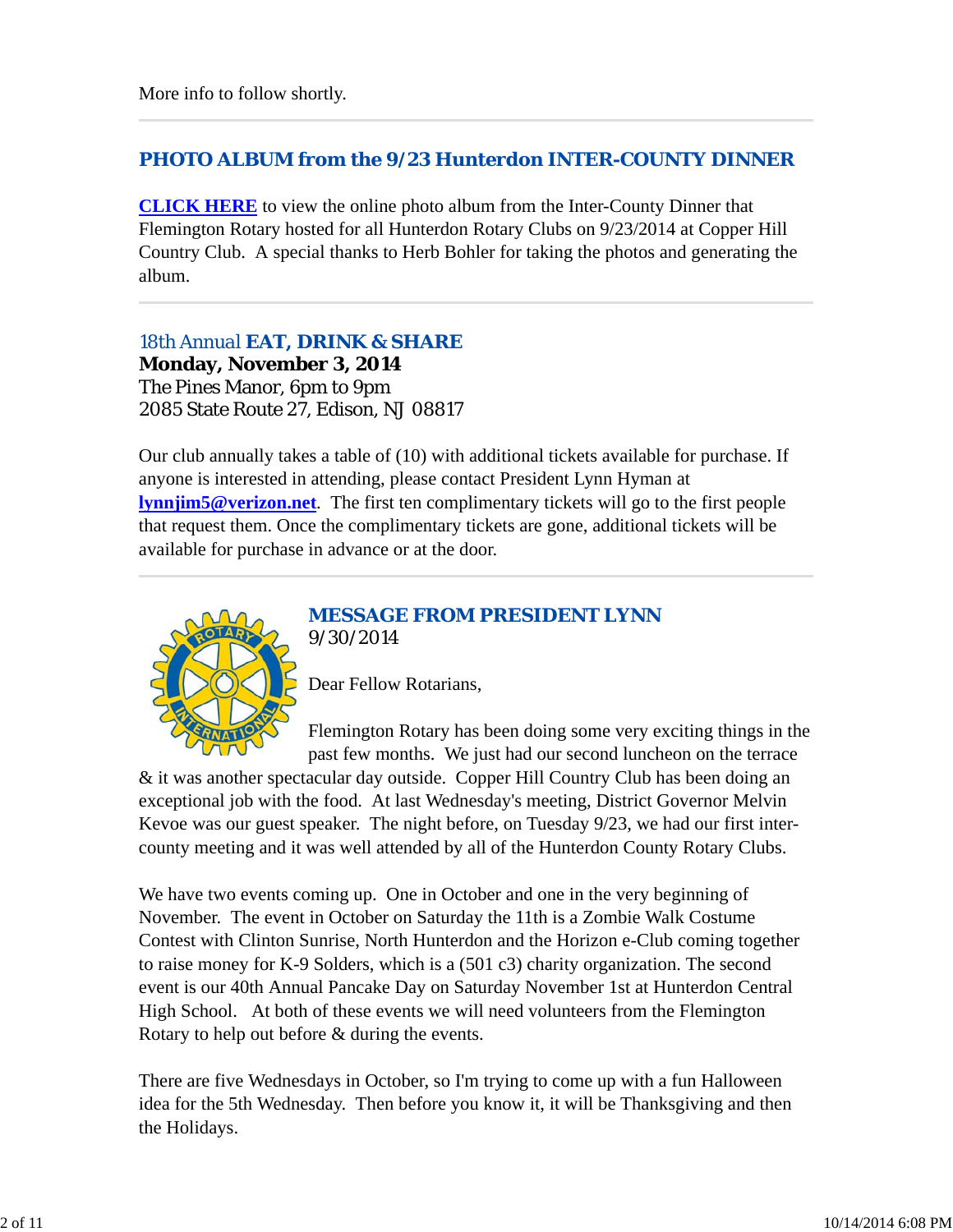# *PHOTO ALBUM from the 9/23 Hunterdon INTER-COUNTY DINNER*

**CLICK HERE** to view the online photo album from the Inter-County Dinner that Flemington Rotary hosted for all Hunterdon Rotary Clubs on 9/23/2014 at Copper Hill Country Club. A special thanks to Herb Bohler for taking the photos and generating the album.

*18th Annual EAT, DRINK & SHARE* **Monday, November 3, 2014** The Pines Manor, 6pm to 9pm 2085 State Route 27, Edison, NJ 08817

Our club annually takes a table of (10) with additional tickets available for purchase. If anyone is interested in attending, please contact President Lynn Hyman at **lynnjim5@verizon.net**. The first ten complimentary tickets will go to the first people that request them. Once the complimentary tickets are gone, additional tickets will be available for purchase in advance or at the door.



#### *MESSAGE FROM PRESIDENT LYNN 9/30/2014*

Dear Fellow Rotarians,

Flemington Rotary has been doing some very exciting things in the past few months. We just had our second luncheon on the terrace

& it was another spectacular day outside. Copper Hill Country Club has been doing an exceptional job with the food. At last Wednesday's meeting, District Governor Melvin Kevoe was our guest speaker. The night before, on Tuesday 9/23, we had our first intercounty meeting and it was well attended by all of the Hunterdon County Rotary Clubs.

We have two events coming up. One in October and one in the very beginning of November. The event in October on Saturday the 11th is a Zombie Walk Costume Contest with Clinton Sunrise, North Hunterdon and the Horizon e-Club coming together to raise money for K-9 Solders, which is a (501 c3) charity organization. The second event is our 40th Annual Pancake Day on Saturday November 1st at Hunterdon Central High School. At both of these events we will need volunteers from the Flemington Rotary to help out before & during the events.

There are five Wednesdays in October, so I'm trying to come up with a fun Halloween idea for the 5th Wednesday. Then before you know it, it will be Thanksgiving and then the Holidays.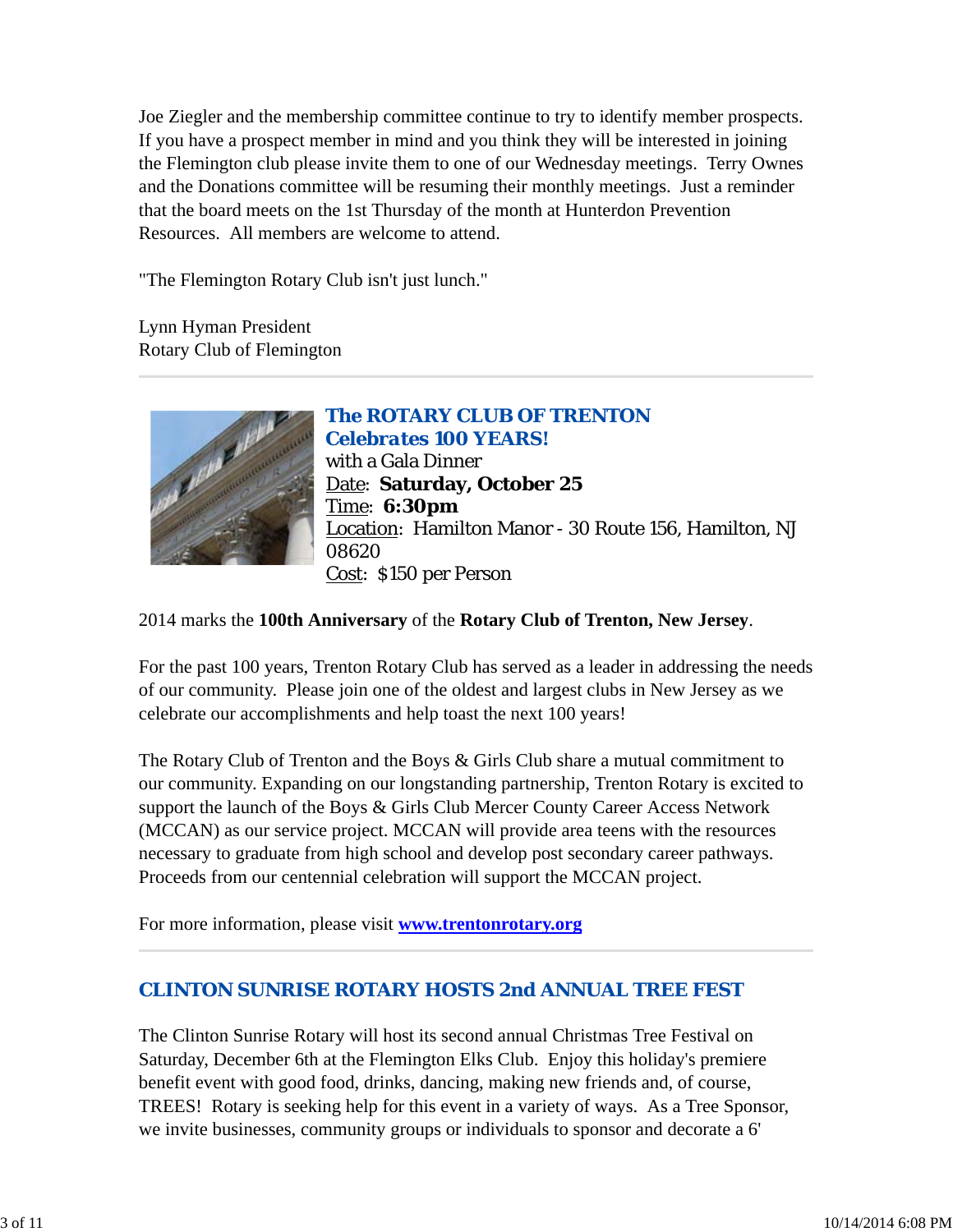Joe Ziegler and the membership committee continue to try to identify member prospects. If you have a prospect member in mind and you think they will be interested in joining the Flemington club please invite them to one of our Wednesday meetings. Terry Ownes and the Donations committee will be resuming their monthly meetings. Just a reminder that the board meets on the 1st Thursday of the month at Hunterdon Prevention Resources. All members are welcome to attend.

"The Flemington Rotary Club isn't just lunch."

Lynn Hyman President Rotary Club of Flemington



*The ROTARY CLUB OF TRENTON Celebrates 100 YEARS!* with a Gala Dinner Date: **Saturday, October 25** Time: **6:30pm** Location: Hamilton Manor - 30 Route 156, Hamilton, NJ 08620 Cost: \$150 per Person

2014 marks the **100th Anniversary** of the **Rotary Club of Trenton, New Jersey**.

For the past 100 years, Trenton Rotary Club has served as a leader in addressing the needs of our community. Please join one of the oldest and largest clubs in New Jersey as we celebrate our accomplishments and help toast the next 100 years!

The Rotary Club of Trenton and the Boys & Girls Club share a mutual commitment to our community. Expanding on our longstanding partnership, Trenton Rotary is excited to support the launch of the Boys & Girls Club Mercer County Career Access Network (MCCAN) as our service project. MCCAN will provide area teens with the resources necessary to graduate from high school and develop post secondary career pathways. Proceeds from our centennial celebration will support the MCCAN project.

For more information, please visit **www.trentonrotary.org**

# *CLINTON SUNRISE ROTARY HOSTS 2nd ANNUAL TREE FEST*

The Clinton Sunrise Rotary will host its second annual Christmas Tree Festival on Saturday, December 6th at the Flemington Elks Club. Enjoy this holiday's premiere benefit event with good food, drinks, dancing, making new friends and, of course, TREES! Rotary is seeking help for this event in a variety of ways. As a Tree Sponsor, we invite businesses, community groups or individuals to sponsor and decorate a 6'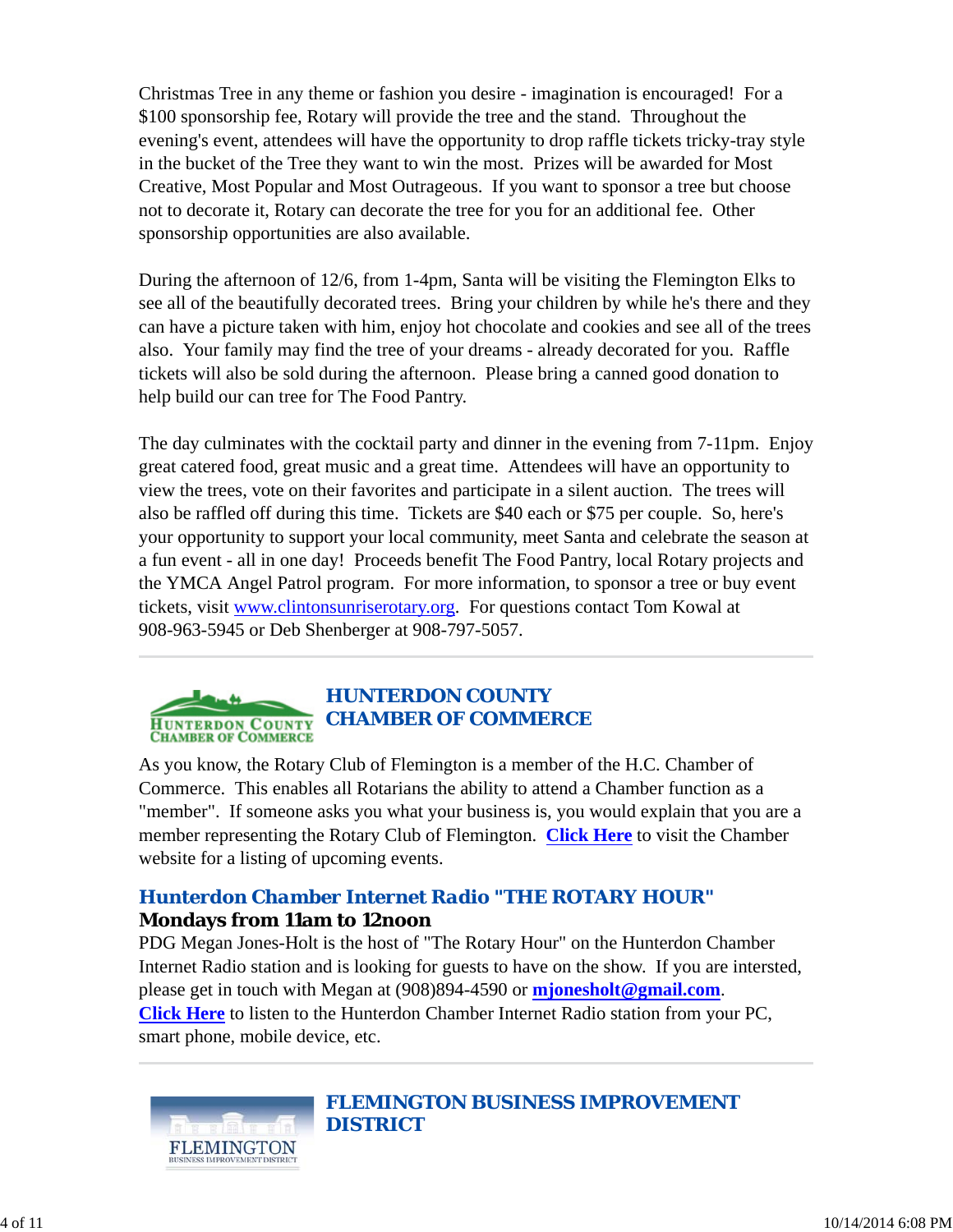Christmas Tree in any theme or fashion you desire - imagination is encouraged! For a \$100 sponsorship fee, Rotary will provide the tree and the stand. Throughout the evening's event, attendees will have the opportunity to drop raffle tickets tricky-tray style in the bucket of the Tree they want to win the most. Prizes will be awarded for Most Creative, Most Popular and Most Outrageous. If you want to sponsor a tree but choose not to decorate it, Rotary can decorate the tree for you for an additional fee. Other sponsorship opportunities are also available.

During the afternoon of 12/6, from 1-4pm, Santa will be visiting the Flemington Elks to see all of the beautifully decorated trees. Bring your children by while he's there and they can have a picture taken with him, enjoy hot chocolate and cookies and see all of the trees also. Your family may find the tree of your dreams - already decorated for you. Raffle tickets will also be sold during the afternoon. Please bring a canned good donation to help build our can tree for The Food Pantry.

The day culminates with the cocktail party and dinner in the evening from 7-11pm. Enjoy great catered food, great music and a great time. Attendees will have an opportunity to view the trees, vote on their favorites and participate in a silent auction. The trees will also be raffled off during this time. Tickets are \$40 each or \$75 per couple. So, here's your opportunity to support your local community, meet Santa and celebrate the season at a fun event - all in one day! Proceeds benefit The Food Pantry, local Rotary projects and the YMCA Angel Patrol program. For more information, to sponsor a tree or buy event tickets, visit www.clintonsunriserotary.org. For questions contact Tom Kowal at 908-963-5945 or Deb Shenberger at 908-797-5057.



# *HUNTERDON COUNTY CHAMBER OF COMMERCE*

As you know, the Rotary Club of Flemington is a member of the H.C. Chamber of Commerce. This enables all Rotarians the ability to attend a Chamber function as a "member". If someone asks you what your business is, you would explain that you are a member representing the Rotary Club of Flemington. **Click Here** to visit the Chamber website for a listing of upcoming events.

# *Hunterdon Chamber Internet Radio "THE ROTARY HOUR"* **Mondays from 11am to 12noon**

PDG Megan Jones-Holt is the host of "The Rotary Hour" on the Hunterdon Chamber Internet Radio station and is looking for guests to have on the show. If you are intersted, please get in touch with Megan at (908)894-4590 or **mjonesholt@gmail.com**. **Click Here** to listen to the Hunterdon Chamber Internet Radio station from your PC, smart phone, mobile device, etc.



*FLEMINGTON BUSINESS IMPROVEMENT DISTRICT*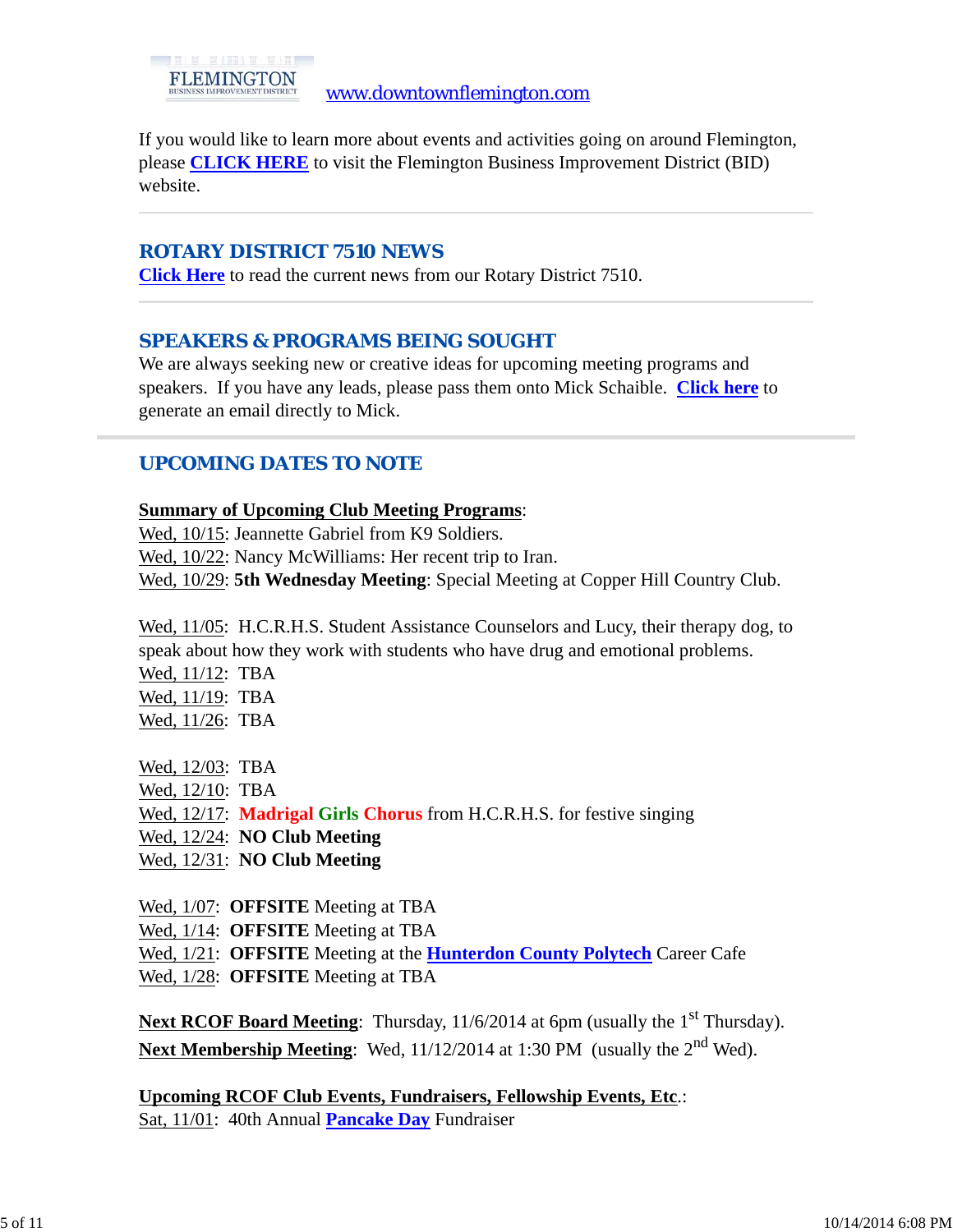If you would like to learn more about events and activities going on around Flemington, please **CLICK HERE** to visit the Flemington Business Improvement District (BID) website.

### *ROTARY DISTRICT 7510 NEWS*

**Click Here** to read the current news from our Rotary District 7510.

# *SPEAKERS & PROGRAMS BEING SOUGHT*

We are always seeking new or creative ideas for upcoming meeting programs and speakers. If you have any leads, please pass them onto Mick Schaible. **Click here** to generate an email directly to Mick.

# *UPCOMING DATES TO NOTE*

#### **Summary of Upcoming Club Meeting Programs**:

Wed, 10/15: Jeannette Gabriel from K9 Soldiers.

Wed, 10/22: Nancy McWilliams: Her recent trip to Iran.

Wed, 10/29: **5th Wednesday Meeting**: Special Meeting at Copper Hill Country Club.

Wed, 11/05: H.C.R.H.S. Student Assistance Counselors and Lucy, their therapy dog, to speak about how they work with students who have drug and emotional problems.

Wed, 11/12: TBA Wed, 11/19: TBA Wed, 11/26: TBA

Wed, 12/03: TBA

Wed, 12/10: TBA

Wed, 12/17: **Madrigal Girls Chorus** from H.C.R.H.S. for festive singing

Wed, 12/24: **NO Club Meeting**

Wed, 12/31: **NO Club Meeting**

Wed, 1/07: **OFFSITE** Meeting at TBA

Wed, 1/14: **OFFSITE** Meeting at TBA

Wed, 1/21: **OFFSITE** Meeting at the **Hunterdon County Polytech** Career Cafe

Wed, 1/28: **OFFSITE** Meeting at TBA

**Next RCOF Board Meeting:** Thursday,  $11/6/2014$  at 6pm (usually the  $1<sup>st</sup>$  Thursday). Next Membership Meeting: Wed, 11/12/2014 at 1:30 PM (usually the 2<sup>nd</sup> Wed).

**Upcoming RCOF Club Events, Fundraisers, Fellowship Events, Etc**.: Sat, 11/01: 40th Annual **Pancake Day** Fundraiser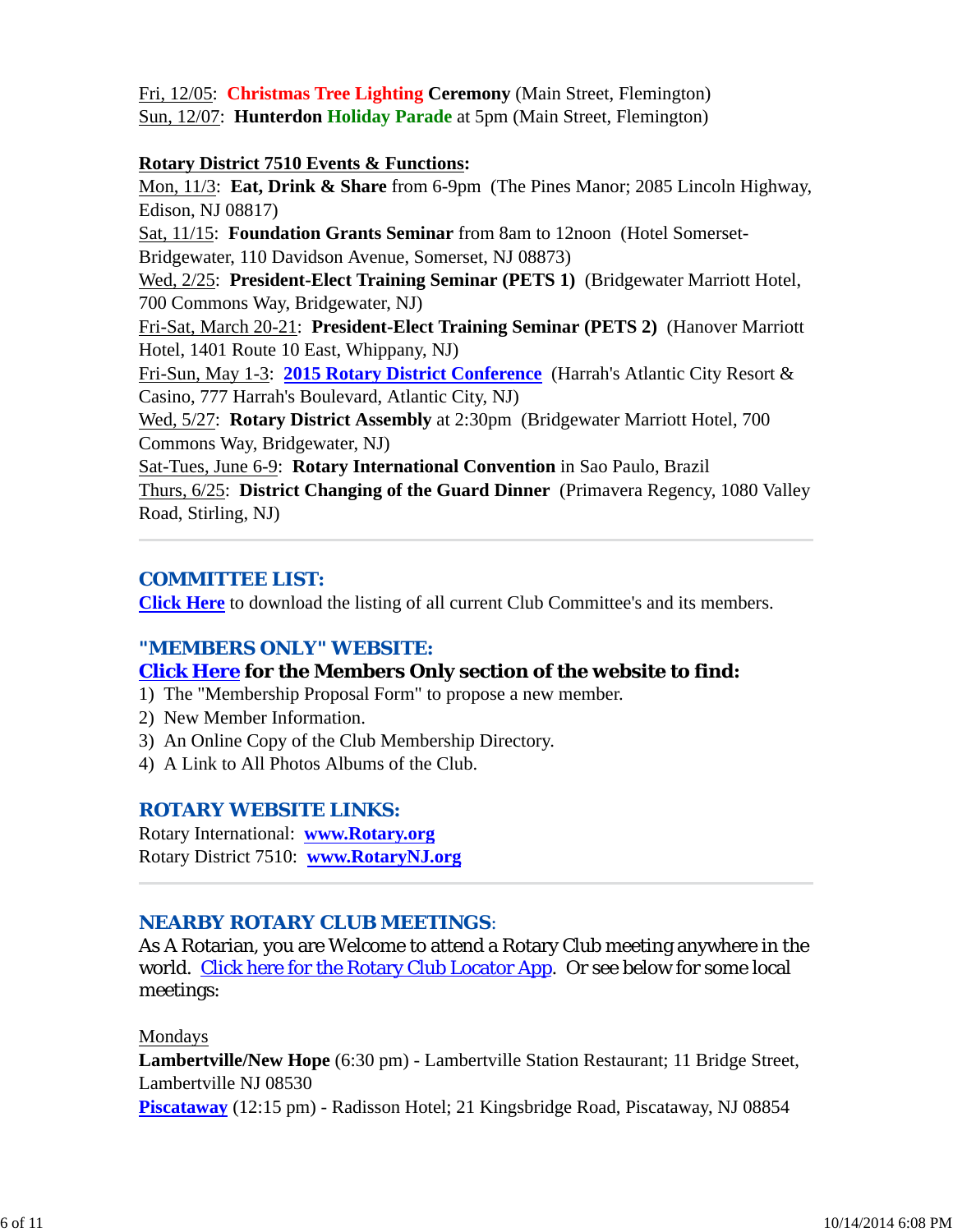Fri, 12/05: **Christmas Tree Lighting Ceremony** (Main Street, Flemington) Sun, 12/07: **Hunterdon Holiday Parade** at 5pm (Main Street, Flemington)

#### **Rotary District 7510 Events & Functions:**

Mon, 11/3: **Eat, Drink & Share** from 6-9pm (The Pines Manor; 2085 Lincoln Highway, Edison, NJ 08817)

Sat, 11/15: **Foundation Grants Seminar** from 8am to 12noon (Hotel Somerset-Bridgewater, 110 Davidson Avenue, Somerset, NJ 08873)

Wed, 2/25: **President-Elect Training Seminar (PETS 1)** (Bridgewater Marriott Hotel, 700 Commons Way, Bridgewater, NJ)

Fri-Sat, March 20-21: **President-Elect Training Seminar (PETS 2)** (Hanover Marriott Hotel, 1401 Route 10 East, Whippany, NJ)

Fri-Sun, May 1-3: **2015 Rotary District Conference** (Harrah's Atlantic City Resort & Casino, 777 Harrah's Boulevard, Atlantic City, NJ)

Wed, 5/27: **Rotary District Assembly** at 2:30pm (Bridgewater Marriott Hotel, 700 Commons Way, Bridgewater, NJ)

Sat-Tues, June 6-9: **Rotary International Convention** in Sao Paulo, Brazil Thurs, 6/25: **District Changing of the Guard Dinner** (Primavera Regency, 1080 Valley Road, Stirling, NJ)

# *COMMITTEE LIST:*

**Click Here** to download the listing of all current Club Committee's and its members.

#### *"MEMBERS ONLY" WEBSITE:*

#### **Click Here for the Members Only section of the website to find:**

- 1) The "Membership Proposal Form" to propose a new member.
- 2) New Member Information.
- 3) An Online Copy of the Club Membership Directory.
- 4) A Link to All Photos Albums of the Club.

#### *ROTARY WEBSITE LINKS:*

Rotary International: **www.Rotary.org** Rotary District 7510: **www.RotaryNJ.org**

# *NEARBY ROTARY CLUB MEETINGS:*

As A Rotarian, you are Welcome to attend a Rotary Club meeting anywhere in the world. Click here for the Rotary Club Locator App. Or see below for some local meetings:

#### Mondays

**Lambertville/New Hope** (6:30 pm) - Lambertville Station Restaurant; 11 Bridge Street, Lambertville NJ 08530 **Piscataway** (12:15 pm) - Radisson Hotel; 21 Kingsbridge Road, Piscataway, NJ 08854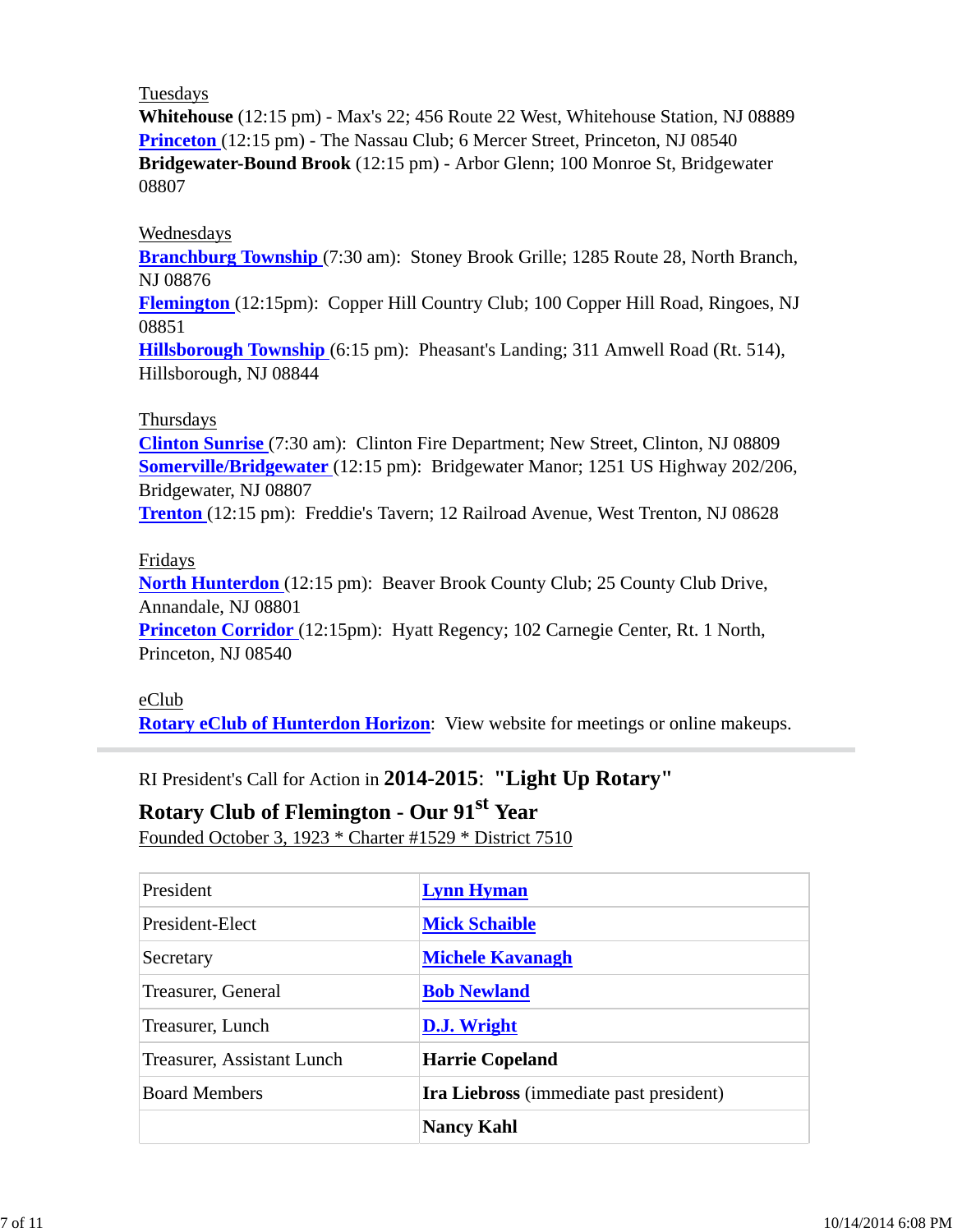#### Tuesdays

**Whitehouse** (12:15 pm) - Max's 22; 456 Route 22 West, Whitehouse Station, NJ 08889 **Princeton** (12:15 pm) - The Nassau Club; 6 Mercer Street, Princeton, NJ 08540 **Bridgewater-Bound Brook** (12:15 pm) - Arbor Glenn; 100 Monroe St, Bridgewater 08807

#### Wednesdays

**Branchburg Township** (7:30 am): Stoney Brook Grille; 1285 Route 28, North Branch, NJ 08876

**Flemington** (12:15pm): Copper Hill Country Club; 100 Copper Hill Road, Ringoes, NJ 08851

**Hillsborough Township** (6:15 pm): Pheasant's Landing; 311 Amwell Road (Rt. 514), Hillsborough, NJ 08844

#### Thursdays

**Clinton Sunrise** (7:30 am): Clinton Fire Department; New Street, Clinton, NJ 08809 **Somerville/Bridgewater** (12:15 pm): Bridgewater Manor; 1251 US Highway 202/206, Bridgewater, NJ 08807

**Trenton** (12:15 pm): Freddie's Tavern; 12 Railroad Avenue, West Trenton, NJ 08628

#### Fridays

**North Hunterdon** (12:15 pm): Beaver Brook County Club; 25 County Club Drive, Annandale, NJ 08801

**Princeton Corridor** (12:15pm): Hyatt Regency; 102 Carnegie Center, Rt. 1 North, Princeton, NJ 08540

#### eClub

**Rotary eClub of Hunterdon Horizon**: View website for meetings or online makeups.

RI President's Call for Action in **2014-2015**: **"Light Up Rotary"**

# **Rotary Club of Flemington - Our 91st Year**

Founded October 3, 1923 \* Charter #1529 \* District 7510

| President                  | <b>Lynn Hyman</b>                              |  |
|----------------------------|------------------------------------------------|--|
| President-Elect            | <b>Mick Schaible</b>                           |  |
| Secretary                  | <b>Michele Kavanagh</b>                        |  |
| Treasurer, General         | <b>Bob Newland</b>                             |  |
| Treasurer, Lunch           | D.J. Wright                                    |  |
| Treasurer, Assistant Lunch | <b>Harrie Copeland</b>                         |  |
| <b>Board Members</b>       | <b>Ira Liebross</b> (immediate past president) |  |
|                            | <b>Nancy Kahl</b>                              |  |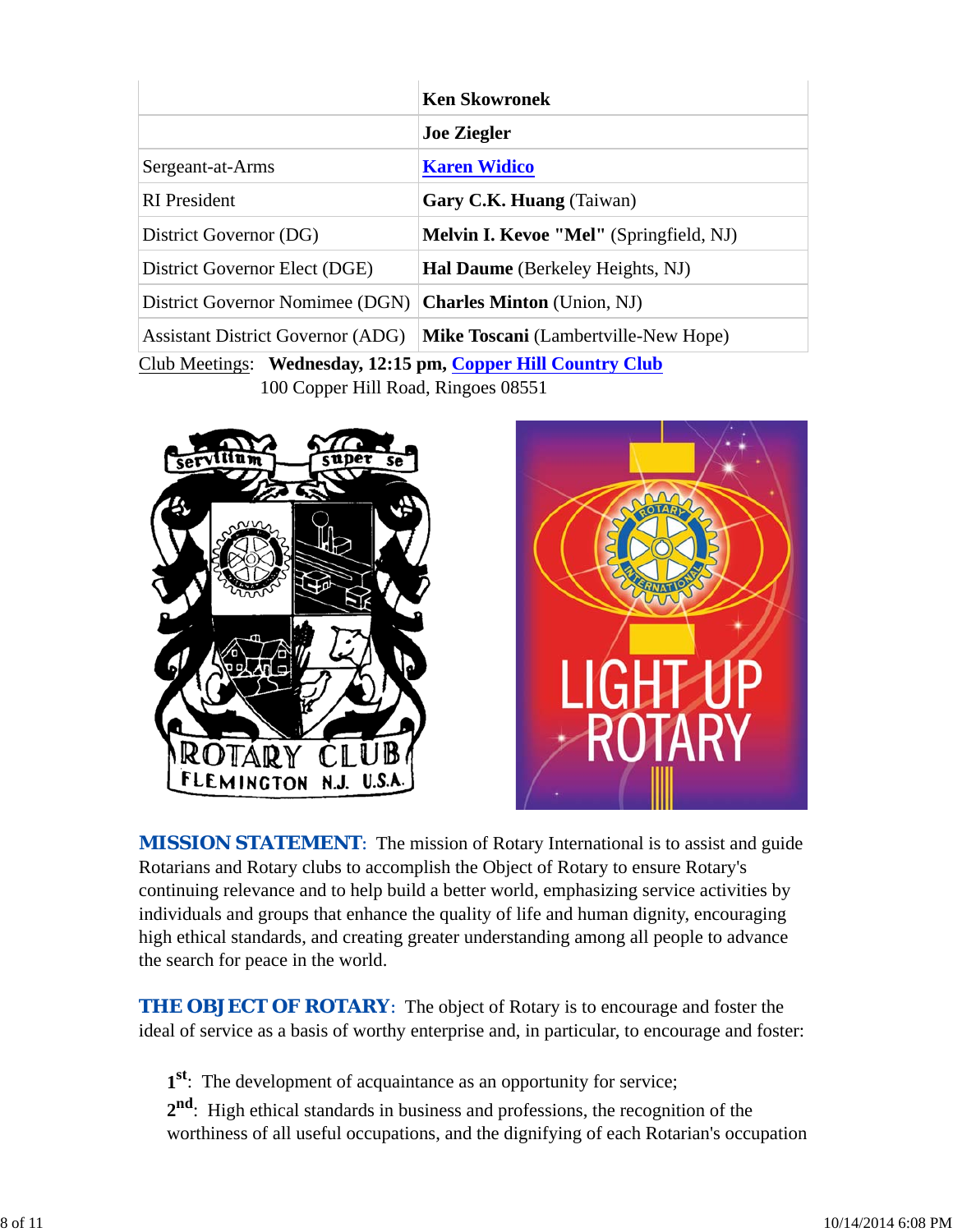|                                                              | <b>Ken Skowronek</b>                           |  |  |
|--------------------------------------------------------------|------------------------------------------------|--|--|
|                                                              | <b>Joe Ziegler</b>                             |  |  |
| Sergeant-at-Arms                                             | <b>Karen Widico</b>                            |  |  |
| <b>RI</b> President                                          | Gary C.K. Huang (Taiwan)                       |  |  |
| District Governor (DG)                                       | <b>Melvin I. Kevoe "Mel"</b> (Springfield, NJ) |  |  |
| District Governor Elect (DGE)                                | <b>Hal Daume</b> (Berkeley Heights, NJ)        |  |  |
| District Governor Nomimee (DGN)                              | <b>Charles Minton</b> (Union, NJ)              |  |  |
| <b>Assistant District Governor (ADG)</b>                     | <b>Mike Toscani</b> (Lambertville-New Hope)    |  |  |
| Club Meetings: Wednesday, 12:15 pm, Copper Hill Country Club |                                                |  |  |

100 Copper Hill Road, Ringoes 08551





**MISSION STATEMENT:** The mission of Rotary International is to assist and guide Rotarians and Rotary clubs to accomplish the Object of Rotary to ensure Rotary's continuing relevance and to help build a better world, emphasizing service activities by individuals and groups that enhance the quality of life and human dignity, encouraging high ethical standards, and creating greater understanding among all people to advance the search for peace in the world.

**THE OBJECT OF ROTARY:** The object of Rotary is to encourage and foster the ideal of service as a basis of worthy enterprise and, in particular, to encourage and foster:

**1st**: The development of acquaintance as an opportunity for service;

**2nd**: High ethical standards in business and professions, the recognition of the worthiness of all useful occupations, and the dignifying of each Rotarian's occupation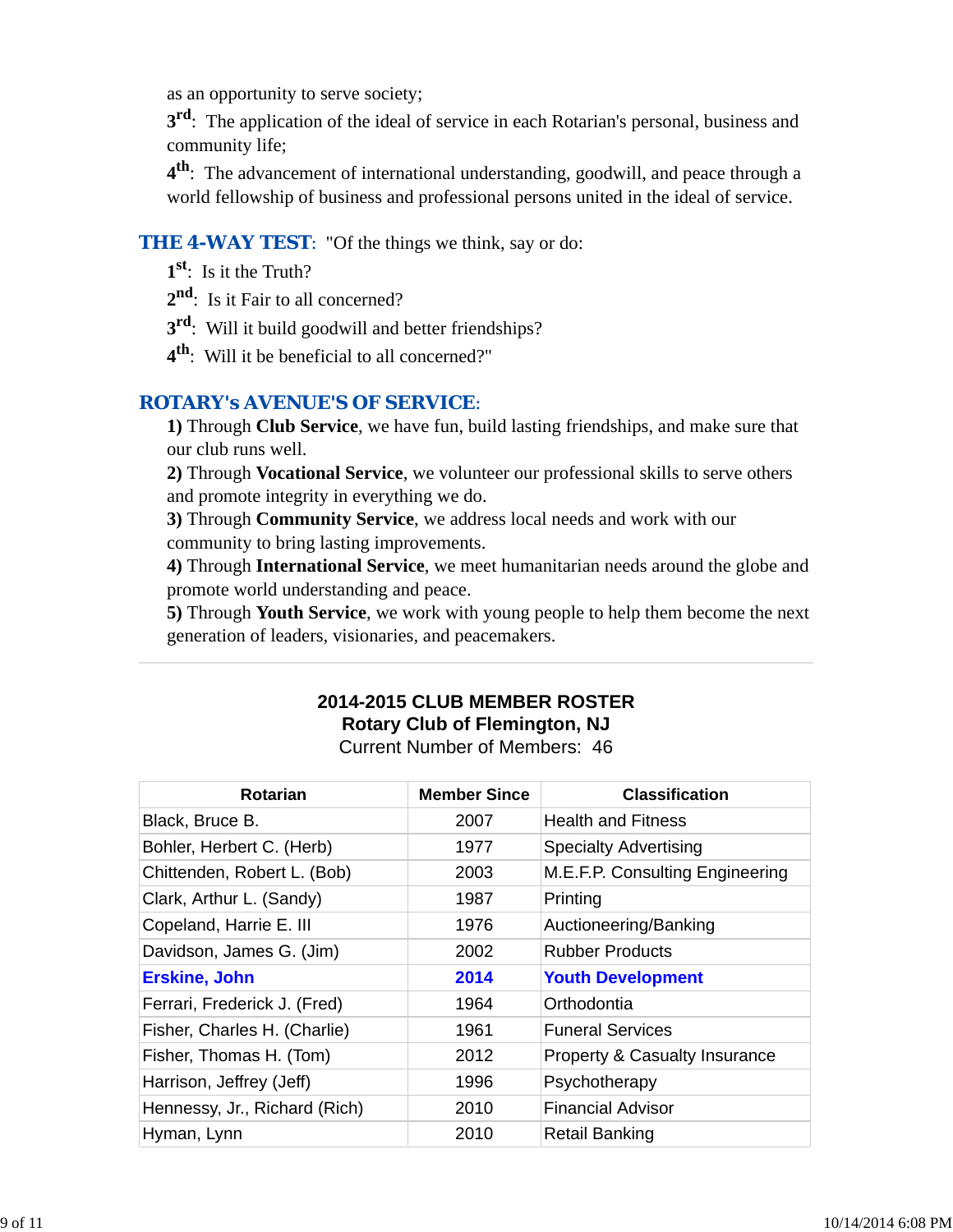as an opportunity to serve society;

**3<sup>rd</sup>**: The application of the ideal of service in each Rotarian's personal, business and community life;

**4th**: The advancement of international understanding, goodwill, and peace through a world fellowship of business and professional persons united in the ideal of service.

# **THE 4-WAY TEST:** "Of the things we think, say or do:

- **1st**: Is it the Truth?
- 2<sup>nd</sup>: Is it Fair to all concerned?
- **3rd**: Will it build goodwill and better friendships?
- **4th**: Will it be beneficial to all concerned?"

# *ROTARY's AVENUE'S OF SERVICE*:

**1)** Through **Club Service**, we have fun, build lasting friendships, and make sure that our club runs well.

**2)** Through **Vocational Service**, we volunteer our professional skills to serve others and promote integrity in everything we do.

**3)** Through **Community Service**, we address local needs and work with our community to bring lasting improvements.

**4)** Through **International Service**, we meet humanitarian needs around the globe and promote world understanding and peace.

**5)** Through **Youth Service**, we work with young people to help them become the next generation of leaders, visionaries, and peacemakers.

# **2014-2015 CLUB MEMBER ROSTER Rotary Club of Flemington, NJ**

Current Number of Members: 46

| <b>Rotarian</b>               | <b>Member Since</b> | <b>Classification</b>                    |
|-------------------------------|---------------------|------------------------------------------|
| Black, Bruce B.               | 2007                | <b>Health and Fitness</b>                |
| Bohler, Herbert C. (Herb)     | 1977                | <b>Specialty Advertising</b>             |
| Chittenden, Robert L. (Bob)   | 2003                | M.E.F.P. Consulting Engineering          |
| Clark, Arthur L. (Sandy)      | 1987                | Printing                                 |
| Copeland, Harrie E. III       | 1976                | Auctioneering/Banking                    |
| Davidson, James G. (Jim)      | 2002                | <b>Rubber Products</b>                   |
| <b>Erskine, John</b>          | 2014                | <b>Youth Development</b>                 |
| Ferrari, Frederick J. (Fred)  | 1964                | Orthodontia                              |
| Fisher, Charles H. (Charlie)  | 1961                | <b>Funeral Services</b>                  |
| Fisher, Thomas H. (Tom)       | 2012                | <b>Property &amp; Casualty Insurance</b> |
| Harrison, Jeffrey (Jeff)      | 1996                | Psychotherapy                            |
| Hennessy, Jr., Richard (Rich) | 2010                | <b>Financial Advisor</b>                 |
| Hyman, Lynn                   | 2010                | <b>Retail Banking</b>                    |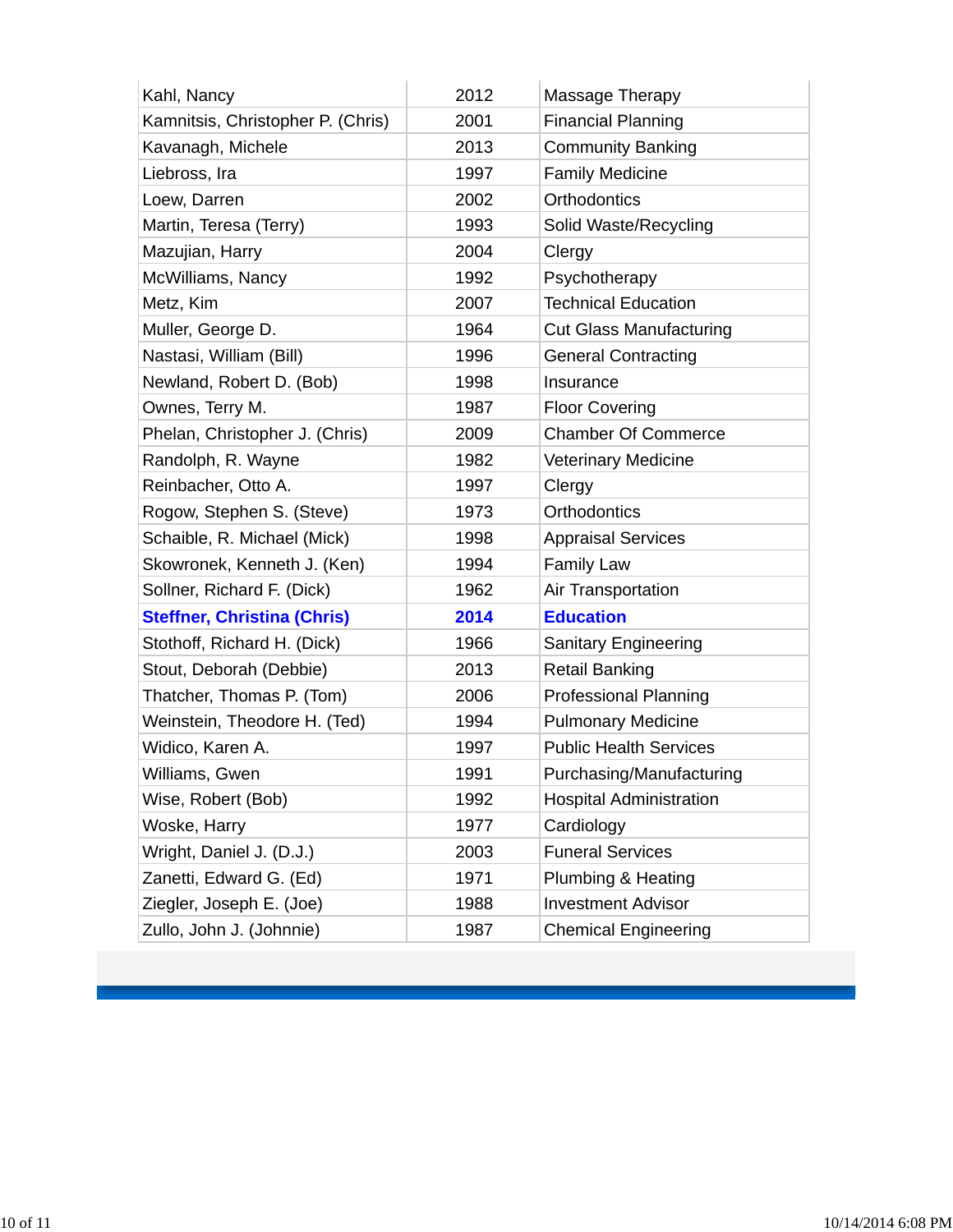| Kahl, Nancy                        | 2012 | Massage Therapy                |
|------------------------------------|------|--------------------------------|
| Kamnitsis, Christopher P. (Chris)  | 2001 | <b>Financial Planning</b>      |
| Kavanagh, Michele                  | 2013 | <b>Community Banking</b>       |
| Liebross, Ira                      | 1997 | <b>Family Medicine</b>         |
| Loew, Darren                       | 2002 | Orthodontics                   |
| Martin, Teresa (Terry)             | 1993 | Solid Waste/Recycling          |
| Mazujian, Harry                    | 2004 | Clergy                         |
| McWilliams, Nancy                  | 1992 | Psychotherapy                  |
| Metz, Kim                          | 2007 | <b>Technical Education</b>     |
| Muller, George D.                  | 1964 | <b>Cut Glass Manufacturing</b> |
| Nastasi, William (Bill)            | 1996 | <b>General Contracting</b>     |
| Newland, Robert D. (Bob)           | 1998 | Insurance                      |
| Ownes, Terry M.                    | 1987 | <b>Floor Covering</b>          |
| Phelan, Christopher J. (Chris)     | 2009 | <b>Chamber Of Commerce</b>     |
| Randolph, R. Wayne                 | 1982 | <b>Veterinary Medicine</b>     |
| Reinbacher, Otto A.                | 1997 | Clergy                         |
| Rogow, Stephen S. (Steve)          | 1973 | <b>Orthodontics</b>            |
| Schaible, R. Michael (Mick)        | 1998 | <b>Appraisal Services</b>      |
| Skowronek, Kenneth J. (Ken)        | 1994 | <b>Family Law</b>              |
| Sollner, Richard F. (Dick)         | 1962 | Air Transportation             |
| <b>Steffner, Christina (Chris)</b> | 2014 | <b>Education</b>               |
| Stothoff, Richard H. (Dick)        | 1966 | Sanitary Engineering           |
| Stout, Deborah (Debbie)            | 2013 | <b>Retail Banking</b>          |
| Thatcher, Thomas P. (Tom)          | 2006 | <b>Professional Planning</b>   |
| Weinstein, Theodore H. (Ted)       | 1994 | <b>Pulmonary Medicine</b>      |
| Widico, Karen A.                   | 1997 | <b>Public Health Services</b>  |
| Williams, Gwen                     | 1991 | Purchasing/Manufacturing       |
| Wise, Robert (Bob)                 | 1992 | <b>Hospital Administration</b> |
| Woske, Harry                       | 1977 | Cardiology                     |
| Wright, Daniel J. (D.J.)           | 2003 | <b>Funeral Services</b>        |
| Zanetti, Edward G. (Ed)            | 1971 | Plumbing & Heating             |
| Ziegler, Joseph E. (Joe)           | 1988 | <b>Investment Advisor</b>      |
| Zullo, John J. (Johnnie)           | 1987 | <b>Chemical Engineering</b>    |